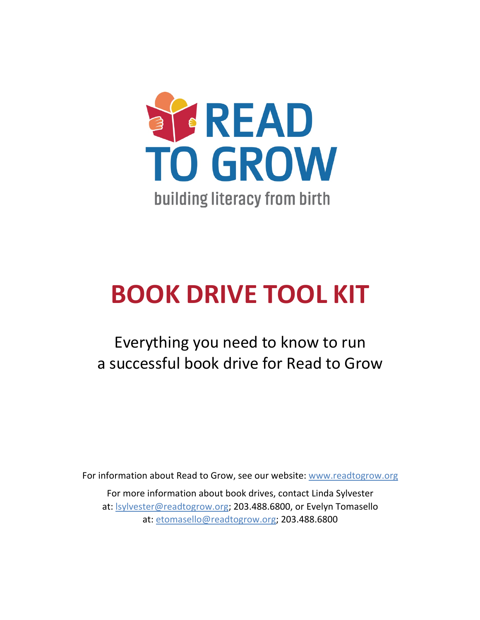

# **BOOK DRIVE TOOL KIT**

Everything you need to know to run a successful book drive for Read to Grow

For information about Read to Grow, see our website: www.readtogrow.org

For more information about book drives, contact Linda Sylvester at: lsylvester@readtogrow.org; 203.488.6800, or Evelyn Tomasello at: etomasello@readtogrow.org; 203.488.6800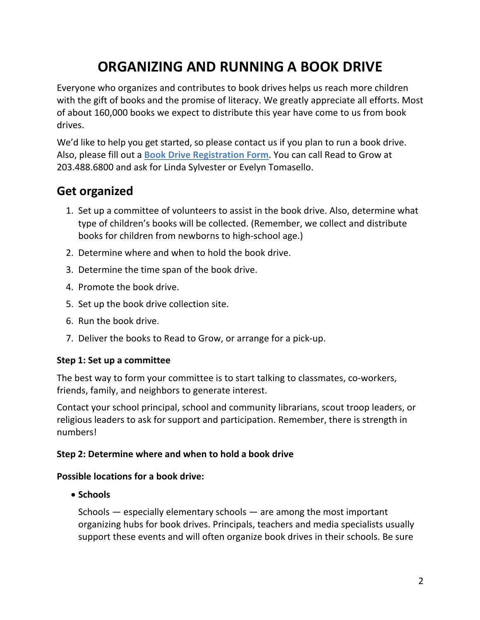# **ORGANIZING AND RUNNING A BOOK DRIVE**

Everyone who organizes and contributes to book drives helps us reach more children with the gift of books and the promise of literacy. We greatly appreciate all efforts. Most of about 160,000 books we expect to distribute this year have come to us from book drives.

We'd like to help you get started, so please contact us if you plan to run a book drive. Also, please fill out a **Book Drive Registration Form**. You can call Read to Grow at 203.488.6800 and ask for Linda Sylvester or Evelyn Tomasello.

### **Get organized**

- 1. Set up a committee of volunteers to assist in the book drive. Also, determine what type of children's books will be collected. (Remember, we collect and distribute books for children from newborns to high-school age.)
- 2. Determine where and when to hold the book drive.
- 3. Determine the time span of the book drive.
- 4. Promote the book drive.
- 5. Set up the book drive collection site.
- 6. Run the book drive.
- 7. Deliver the books to Read to Grow, or arrange for a pick-up.

#### **Step 1: Set up a committee**

The best way to form your committee is to start talking to classmates, co-workers, friends, family, and neighbors to generate interest.

Contact your school principal, school and community librarians, scout troop leaders, or religious leaders to ask for support and participation. Remember, there is strength in numbers!

#### **Step 2: Determine where and when to hold a book drive**

#### **Possible locations for a book drive:**

• **Schools**

Schools — especially elementary schools — are among the most important organizing hubs for book drives. Principals, teachers and media specialists usually support these events and will often organize book drives in their schools. Be sure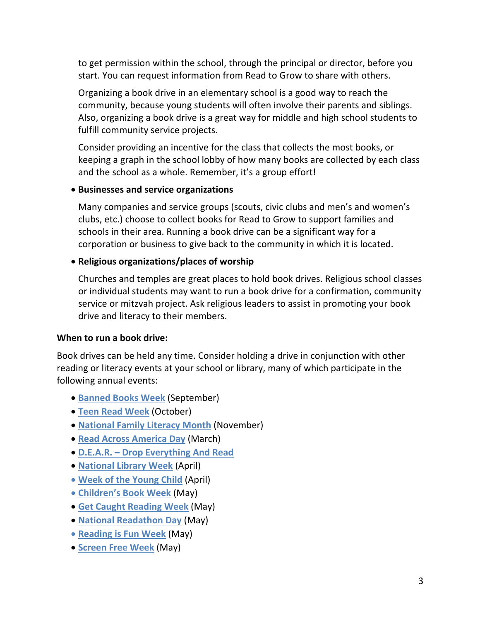to get permission within the school, through the principal or director, before you start. You can request information from Read to Grow to share with others.

Organizing a book drive in an elementary school is a good way to reach the community, because young students will often involve their parents and siblings. Also, organizing a book drive is a great way for middle and high school students to fulfill community service projects.

Consider providing an incentive for the class that collects the most books, or keeping a graph in the school lobby of how many books are collected by each class and the school as a whole. Remember, it's a group effort!

#### • **Businesses and service organizations**

Many companies and service groups (scouts, civic clubs and men's and women's clubs, etc.) choose to collect books for Read to Grow to support families and schools in their area. Running a book drive can be a significant way for a corporation or business to give back to the community in which it is located.

#### • **Religious organizations/places of worship**

Churches and temples are great places to hold book drives. Religious school classes or individual students may want to run a book drive for a confirmation, community service or mitzvah project. Ask religious leaders to assist in promoting your book drive and literacy to their members.

#### **When to run a book drive:**

Book drives can be held any time. Consider holding a drive in conjunction with other reading or literacy events at your school or library, many of which participate in the following annual events:

- **Banned Books Week** (September)
- **Teen Read Week** (October)
- **National Family Literacy Month** (November)
- **Read Across America Day** (March)
- **D.E.A.R. – Drop Everything And Read**
- **National Library Week** (April)
- **Week of the Young Child** (April)
- **Children's Book Week** (May)
- **Get Caught Reading Week** (May)
- **National Readathon Day** (May)
- **Reading is Fun Week** (May)
- **Screen Free Week** (May)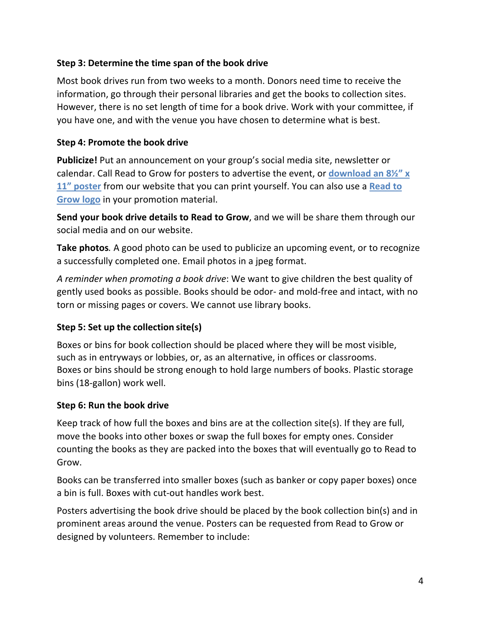#### **Step 3: Determine the time span of the book drive**

Most book drives run from two weeks to a month. Donors need time to receive the information, go through their personal libraries and get the books to collection sites. However, there is no set length of time for a book drive. Work with your committee, if you have one, and with the venue you have chosen to determine what is best.

#### **Step 4: Promote the book drive**

**Publicize!** Put an announcement on your group's social media site, newsletter or calendar. Call Read to Grow for posters to advertise the event, or **download an 8½" x 11" poster** from our website that you can print yourself. You can also use a **Read to Grow logo** in your promotion material.

**Send your book drive details to Read to Grow**, and we will be share them through our social media and on our website.

**Take photos***.* A good photo can be used to publicize an upcoming event, or to recognize a successfully completed one. Email photos in a jpeg format.

*A reminder when promoting a book drive*: We want to give children the best quality of gently used books as possible. Books should be odor- and mold-free and intact, with no torn or missing pages or covers. We cannot use library books.

#### **Step 5: Set up the collection site(s)**

Boxes or bins for book collection should be placed where they will be most visible, such as in entryways or lobbies, or, as an alternative, in offices or classrooms. Boxes or bins should be strong enough to hold large numbers of books. Plastic storage bins (18-gallon) work well.

#### **Step 6: Run the book drive**

Keep track of how full the boxes and bins are at the collection site(s). If they are full, move the books into other boxes or swap the full boxes for empty ones. Consider counting the books as they are packed into the boxes that will eventually go to Read to Grow.

Books can be transferred into smaller boxes (such as banker or copy paper boxes) once a bin is full. Boxes with cut-out handles work best.

Posters advertising the book drive should be placed by the book collection bin(s) and in prominent areas around the venue. Posters can be requested from Read to Grow or designed by volunteers. Remember to include: